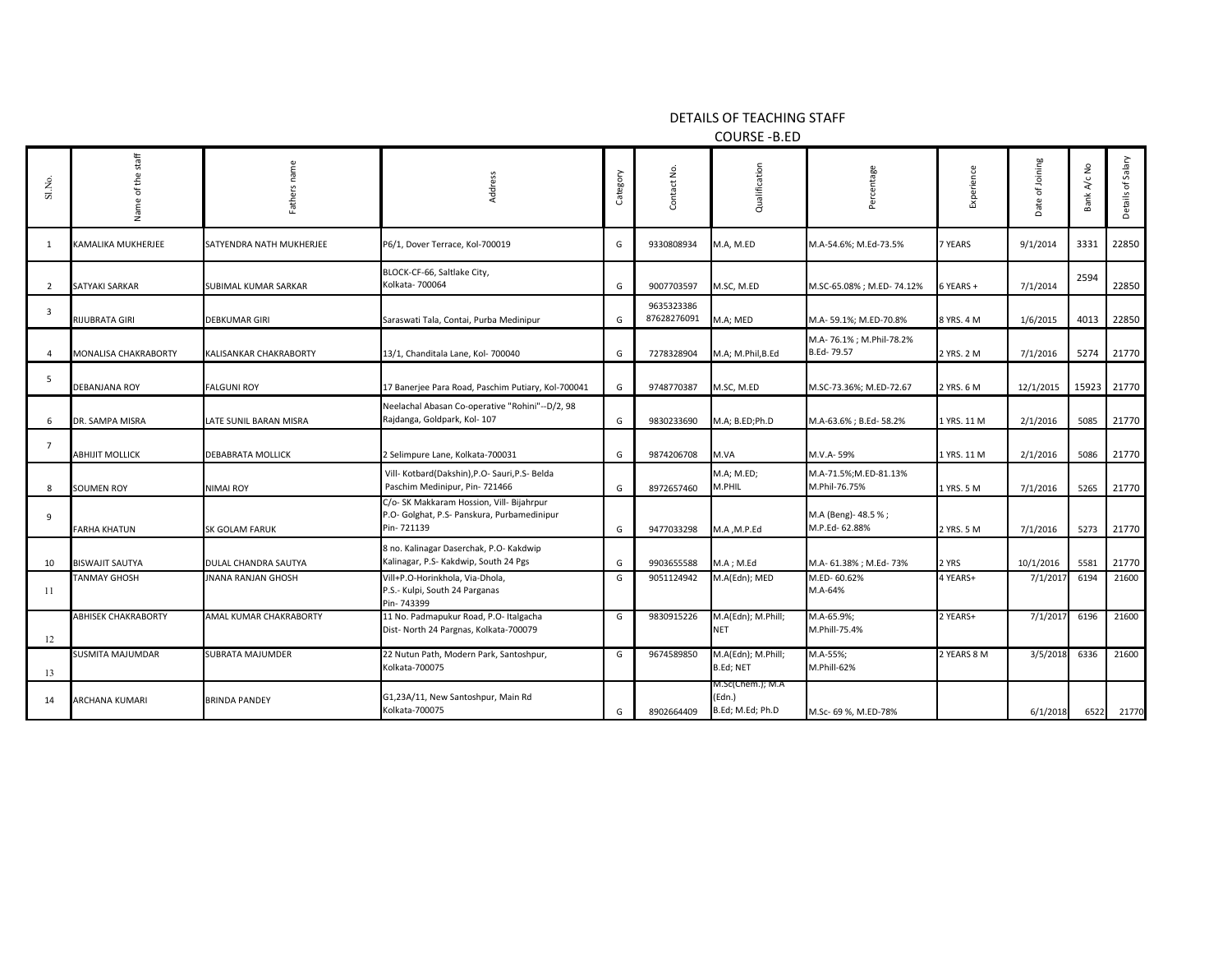DETAILS OF TEACHING STAFF

COURSE -B.ED

| Sl.No.         | staff<br>the<br>Ⴆ<br>Name   | ers<br>Fath               | Address                                                                                                | Category | Contact No.               | Qualification                                  | age<br>èĭ                              | Experience  | Joining<br>đ<br>Date | A/c No<br>Bank | Details of Salary |
|----------------|-----------------------------|---------------------------|--------------------------------------------------------------------------------------------------------|----------|---------------------------|------------------------------------------------|----------------------------------------|-------------|----------------------|----------------|-------------------|
| -1             | KAMALIKA MUKHERJEE          | SATYENDRA NATH MUKHERJEE  | P6/1, Dover Terrace, Kol-700019                                                                        | G        | 9330808934                | M.A, M.ED                                      | M.A-54.6%; M.Ed-73.5%                  | 7 YEARS     | 9/1/2014             | 3331           | 22850             |
| $\overline{2}$ | SATYAKI SARKAR              | SUBIMAL KUMAR SARKAR      | BLOCK-CF-66, Saltlake City,<br>Kolkata- 700064                                                         | G        | 9007703597                | M.SC, M.ED                                     | M.SC-65.08%; M.ED-74.12%               | 6 YEARS +   | 7/1/2014             | 2594           | 22850             |
| $\overline{3}$ | RIJUBRATA GIRI              | <b>DEBKUMAR GIRI</b>      | Saraswati Tala, Contai, Purba Medinipur                                                                | G        | 9635323386<br>87628276091 | M.A; MED                                       | M.A-59.1%; M.ED-70.8%                  | 8 YRS. 4 M  | 1/6/2015             | 4013           | 22850             |
| $\mathbf{A}$   | <b>MONALISA CHAKRABORTY</b> | KALISANKAR CHAKRABORTY    | 13/1, Chanditala Lane, Kol- 700040                                                                     | G        | 7278328904                | M.A; M.Phil,B.Ed                               | M.A- 76.1%; M.Phil-78.2%<br>B.Ed-79.57 | 2 YRS. 2 M  | 7/1/2016             | 5274           | 21770             |
| 5              | <b>DEBANJANA ROY</b>        | <b>FALGUNI ROY</b>        | 17 Banerjee Para Road, Paschim Putiary, Kol-700041                                                     | G        | 9748770387                | M.SC, M.ED                                     | M.SC-73.36%; M.ED-72.67                | 2 YRS. 6 M  | 12/1/2015            |                | 15923 21770       |
| 6              | DR. SAMPA MISRA             | LATE SUNIL BARAN MISRA    | Neelachal Abasan Co-operative "Rohini"--D/2, 98<br>Rajdanga, Goldpark, Kol- 107                        | G        | 9830233690                | M.A; B.ED;Ph.D                                 | M.A-63.6%; B.Ed-58.2%                  | 1 YRS. 11 M | 2/1/2016             | 5085           | 21770             |
| $\overline{7}$ | <b>ABHIJIT MOLLICK</b>      | <b>DEBABRATA MOLLICK</b>  | 2 Selimpure Lane, Kolkata-700031                                                                       | G        | 9874206708                | M.VA                                           | M.V.A-59%                              | 1 YRS. 11 M | 2/1/2016             | 5086           | 21770             |
| 8              | <b>SOUMEN ROY</b>           | <b>NIMAI ROY</b>          | Vill- Kotbard(Dakshin), P.O- Sauri, P.S- Belda<br>Paschim Medinipur, Pin- 721466                       | G        | 8972657460                | M.A; M.ED;<br>M.PHIL                           | M.A-71.5%;M.ED-81.13%<br>M.Phil-76.75% | 1 YRS. 5 M  | 7/1/2016             | 5265           | 21770             |
| 9              | <b>FARHA KHATUN</b>         | SK GOLAM FARUK            | C/o- SK Makkaram Hossion, Vill- Bijahrpur<br>P.O- Golghat, P.S- Panskura, Purbamedinipur<br>Pin-721139 | G        | 9477033298                | M.A , M.P.Ed                                   | M.A (Beng)-48.5%;<br>M.P.Ed- 62.88%    | 2 YRS. 5 M  | 7/1/2016             | 5273           | 21770             |
| 10             | <b>BISWAJIT SAUTYA</b>      | DULAL CHANDRA SAUTYA      | 8 no. Kalinagar Daserchak, P.O- Kakdwip<br>Kalinagar, P.S- Kakdwip, South 24 Pgs                       | G        | 9903655588                | $M.A$ ; $M.Ed$                                 | M.A- 61.38%; M.Ed- 73%                 | 2 YRS       | 10/1/2016            | 5581           | 21770             |
| 11             | <b>TANMAY GHOSH</b>         | <b>JNANA RANJAN GHOSH</b> | Vill+P.O-Horinkhola, Via-Dhola,<br>P.S.- Kulpi, South 24 Parganas<br>Pin-743399                        | G        | 9051124942                | M.A(Edn); MED                                  | M.ED-60.62%<br>M.A-64%                 | 4 YEARS+    | 7/1/2017             | 6194           | 21600             |
| 12             | <b>ABHISEK CHAKRABORTY</b>  | AMAL KUMAR CHAKRABORTY    | 11 No. Padmapukur Road, P.O- Italgacha<br>Dist- North 24 Pargnas, Kolkata-700079                       | G        | 9830915226                | M.A(Edn); M.Phill;<br><b>NET</b>               | M.A-65.9%;<br>M.Phill-75.4%            | 2 YEARS+    | 7/1/2017             | 6196           | 21600             |
| 13             | SUSMITA MAJUMDAR            | SUBRATA MAJUMDER          | 22 Nutun Path, Modern Park, Santoshpur,<br>Kolkata-700075                                              | G        | 9674589850                | M.A(Edn); M.Phill;<br>B.Ed; NET                | M.A-55%;<br>M.Phill-62%                | 2 YEARS 8 M | 3/5/2018             | 6336           | 21600             |
| 14             | ARCHANA KUMARI              | <b>BRINDA PANDEY</b>      | G1,23A/11, New Santoshpur, Main Rd<br>Kolkata-700075                                                   | G        | 8902664409                | M.Sc(Chem.); M.A<br>(Edn.)<br>B.Ed; M.Ed; Ph.D | M.Sc- 69 %, M.ED-78%                   |             | 6/1/2018             | 6522           | 21770             |